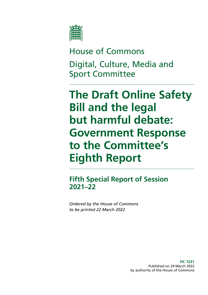

House of Commons Digital, Culture, Media and Sport Committee

**The Draft Online Safety Bill and the legal but harmful debate: Government Response to the Committee's Eighth Report**

**Fifth Special Report of Session 2021–22**

*Ordered by the House of Commons to be printed 22 March 2022*

> **HC 1221** Published on 24 March 2022 by authority of the House of Commons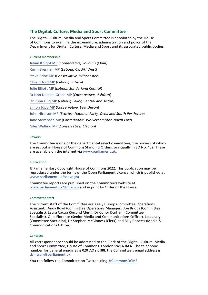### **The Digital, Culture, Media and Sport Committee**

The Digital, Culture, Media and Sport Committee is appointed by the House of Commons to examine the expenditure, administration and policy of the Department for Digital, Culture, Media and Sport and its associated public bodies.

#### **Current membership**

[Julian Knight MP](https://members.parliament.uk/member/4410/contact) (*Conservative, Solihull*) (Chair) [Kevin Brennan MP](https://members.parliament.uk/member/1400/contact) (*Labour, Cardiff West*) [Steve Brine MP](https://members.parliament.uk/member/4067/contact) (*Conservative, Winchester*) [Clive Efford MP](https://members.parliament.uk/member/165/contact) (*Labour, Eltham*) [Julie Elliott MP](https://members.parliament.uk/member/4127/contact) (*Labour, Sunderland Central*) [Rt Hon Damian Green MP](https://members.parliament.uk/member/76/contact) (*Conservative, Ashford*) [Dr Rupa Huq MP](https://members.parliament.uk/member/4511/contact) (*Labour, Ealing Central and Acton)* [Simon Jupp MP](https://members.parliament.uk/member/4862/contact) (*Conservative, East Devon*) [John Nicolson MP](https://members.parliament.uk/member/4415/contact) (*Scottish National Party, Ochil and South Perthshire*) [Jane Stevenson MP](https://members.parliament.uk/member/4750/contact) (*Conservative, Wolverhampton North East*) [Giles Watling MP](https://members.parliament.uk/member/4677/contact) (*Conservative, Clacton*)

#### **Powers**

The Committee is one of the departmental select committees, the powers of which are set out in House of Commons Standing Orders, principally in SO No. 152. These are available on the internet via [www.parliament.uk.](https://www.parliament.uk/)

#### **Publication**

© Parliamentary Copyright House of Commons 2022. This publication may be reproduced under the terms of the Open Parliament Licence, which is published at [www.parliament.uk/copyright](https://www.parliament.uk/copyright).

Committee reports are published on the Committee's website at [www.parliament.uk/dcmscom](https://committees.parliament.uk/committee/378/digital-culture-media-and-sport-committee/publications/) and in print by Order of the House.

#### **Committee staff**

The current staff of the Committee are Keely Bishop (Committee Operations Assistant), Andy Boyd (Committee Operations Manager), Joe Briggs (Committee Specialist), Laura Caccia (Second Clerk), Dr Conor Durham (Committee Specialist), Ollie Florence (Senior Media and Communications Officer), Lois Jeary (Committee Specialist), Dr Stephen McGinness (Clerk) and Billy Roberts (Media & Communications Officer).

#### **Contacts**

All correspondence should be addressed to the Clerk of the Digital, Culture, Media and Sport Committee, House of Commons, London SW1A 0AA. The telephone number for general enquiries is 020 7219 6188; the Committee's email address is dcmscom@parliament.uk.

You can follow the Committee on Twitter using [@CommonsDCMS](https://twitter.com/CommonsDCMS).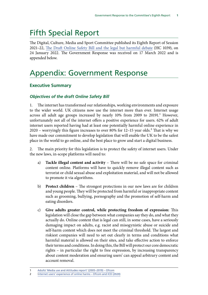# Fifth Special Report

The Digital, Culture, Media and Sport Committee published its Eighth Report of Session 2021–22, [The Draft Online Safety Bill and the legal but harmful debate](https://publications.parliament.uk/pa/cm5802/cmselect/cmcumeds/1039/report.html) (HC 1039), on 24 January 2022. The Government Response was received on 17 March 2022 and is appended below.

# Appendix: Government Response

## **Executive Summary**

#### *Objectives of the draft Online Safety Bill*

1. The internet has transformed our relationships, working environments and exposure to the wider world. UK citizens now use the internet more than ever. Internet usage across all adult age groups increased by nearly 10% from 2009 to 20191.<sup>1</sup> However, unfortunately not all of the internet offers a positive experience for users. 62% of adult internet users reported having had at least one potentially harmful online experience in 2020 – worryingly this figure increases to over 80% for  $12-15$  year olds.<sup>2</sup> That is why we have made our commitment to develop legislation that will enable the UK to be the safest place in the world to go online, and the best place to grow and start a digital business.

2. The main priority for this legislation is to protect the safety of internet users. Under the new laws, in-scope platforms will need to:

- a) **Tackle illegal content and activity** There will be no safe space for criminal content online. Platforms will have to quickly remove illegal content such as terrorist or child sexual abuse and exploitation material, and will not be allowed to promote it via algorithms.
- b) **Protect children** The strongest protections in our new laws are for children and young people. They will be protected from harmful or inappropriate content such as grooming, bullying, pornography and the promotion of self-harm and eating disorders.
- c) **Give adults greater control, while protecting freedom of expression:** This legislation will close the gap between what companies say they do, and what they actually do. Online content that is legal can still, in some cases, have a seriously damaging impact on adults, e.g. racist and misogynistic abuse or suicide and self-harm content which does not meet the criminal threshold. The largest and riskiest companies will need to set out clearly in terms and conditions what harmful material is allowed on their sites, and take effective action to enforce their terms and conditions. In doing this, the Bill will protect our core democratic rights – in particular the right to free expression, by increasing transparency about content moderation and ensuring users' can appeal arbitrary content and account removal.

<sup>1</sup> [Adults' Media use and Attitudes report' \(2005–2019\) – Ofcom](https://www.ofcom.org.uk/research-and-data/media-literacy-research/adults/adults-media-use-and-attitudes)

<sup>2</sup> [Internet users' experience of online harms – Ofcom and ICO \(2020\)](https://www.ofcom.org.uk/research-and-data/internet-and-on-demand-research/internet-use-and-attitudes/internet-users-experience-of-harm-online)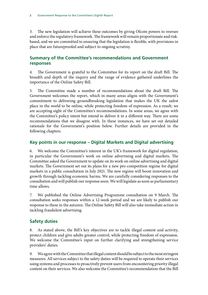3. The new legislation will achieve these outcomes by giving Ofcom powers to oversee and enforce the regulatory framework. The framework will remain proportionate and riskbased, and we are committed to ensuring that the legislation is flexible, with provisions in place that are futureproofed and subject to ongoing scrutiny.

## **Summary of the Committee's recommendations and Government responses**

4. The Government is grateful to the Committee for its report on the draft Bill. The breadth and depth of the inquiry and the range of evidence gathered underlines the importance of the Online Safety Bill.

5. The Committee made a number of recommendations about the draft Bill. The Government welcomes the report, which in many areas aligns with the Government's commitment to delivering groundbreaking legislation that makes the UK the safest place in the world to be online, while protecting freedom of expression. As a result, we are accepting eight of the Committee's recommendations. In some areas, we agree with the Committee's policy intent but intend to deliver it in a different way. There are some recommendations that we disagree with. In these instances, we have set out detailed rationale for the Government's position below. Further details are provided in the following chapters.

# **Key points in our response – Digital Markets and Digital advertising**

6. We welcome the Committee's interest in the UK's framework for digital regulation, in particular the Government's work on online advertising and digital markets. The Committee asked the Government to update on its work on online advertising and digital markets. The Government set out its plans for a new pro-competition regime for digital markets in a public consultation in July 2021. The new regime will boost innovation and growth through tackling economic harms. We are carefully considering responses to the consultation and will publish our response soon. We will legislate as soon as parliamentary time allows.

7. We published the Online Advertising Programme consultation on 9 March. The consultation seeks responses within a 12-week period and we are likely to publish our response to these in the autumn. The Online Safety Bill will also take immediate action in tackling fraudulent advertising.

# **Safety duties**

8. As stated above, the Bill's key objectives are to tackle illegal content and activity, protect children and give adults greater control, while protecting freedom of expression. We welcome the Committee's input on further clarifying and strengthening service providers' duties.

9. We agree with the Committee that illegal content should be subject to the most stringent measures. All services subject to the safety duties will be required to operate their services using systems and processes to proactively prevent users from encountering priority illegal content on their services. We also welcome the Committee's recommendation that the Bill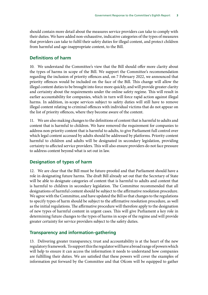should contain more detail about the measures service providers can take to comply with their duties. We have added non-exhaustive, indicative categories of the types of measures that providers can take to fulfil their safety duties for illegal content, and protect children from harmful and age-inappropriate content, to the Bill.

## **Definitions of harm**

10. We understand the Committee's view that the Bill should offer more clarity about the types of harms in scope of the Bill. We support the Committee's recommendation regarding the inclusion of priority offences and, on 7 February 2022, we announced that priority offences would be included on the face of the Bill. This change will allow the illegal content duties to be brought into force more quickly, and will provide greater clarity and certainty about the requirements under the online safety regime. This will result in earlier accountability for companies, which in turn will force rapid action against illegal harms. In addition, in-scope services subject to safety duties will still have to remove illegal content relating to criminal offences with individual victims that do not appear on the list of priority offences, where they become aware of the content.

11. We are also making changes to the definitions of content that is harmful to adults and content that is harmful to children. We have removed the requirement for companies to address non-priority content that is harmful to adults, to give Parliament full control over which legal content accessed by adults should be addressed by platforms. Priority content harmful to children and adults will be designated in secondary legislation, providing certainty to affected service providers. This will also ensure providers do not face pressure to address content beyond what is set out in law.

# **Designation of types of harm**

12. We are clear that the Bill must be future-proofed and that Parliament should have a role in designating future harms. The draft Bill already set out that the Secretary of State will be able to designate categories of content that is harmful to adults and content that is harmful to children in secondary legislation. The Committee recommended that all designations of harmful content should be subject to the affirmative resolution procedure. We agree with the Committee, and have updated the Bill so that changes to the regulations to specify types of harm should be subject to the affirmative resolution procedure, as well as the initial regulations. The affirmative procedure will therefore apply to the designation of new types of harmful content in urgent cases. This will give Parliament a key role in determining future changes to the types of harms in scope of the regime and will provide greater certainty for service providers subject to the safety duties.

## **Transparency and information-gathering**

13. Delivering greater transparency, trust and accountability is at the heart of the new regulatory framework. To support this the regulator will have a broad range of powers which will help to ensure it can access the information it needs to understand how companies are fulfilling their duties. We are satisfied that these powers will cover the examples of information put forward by the Committee and that Ofcom will be equipped to gather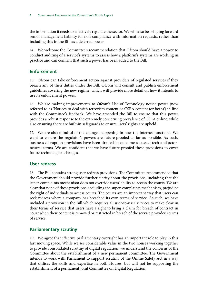the information it needs to effectively regulate the sector. We will also be bringing forward senior management liability for non-compliance with information requests, rather than including this in the Bill as a deferred power.

14. We welcome the Committee's recommendation that Ofcom should have a power to conduct auditing of a service's systems to assess how a platform's systems are working in practice and can confirm that such a power has been added to the Bill.

## **Enforcement**

15. Ofcom can take enforcement action against providers of regulated services if they breach any of their duties under the Bill. Ofcom will consult and publish enforcement guidelines covering the new regime, which will provide more detail on how it intends to use its enforcement powers.

16. We are making improvements to Ofcom's Use of Technology notice power (now referred to as 'Notices to deal with terrorism content or CSEA content (or both)') in line with the Committee's feedback. We have amended the Bill to ensure that this power provides a robust response to the extremely concerning prevalence of CSEA online, while also ensuring there are built-in safeguards to ensure users' rights are upheld.

17. We are also mindful of the changes happening in how the internet functions. We want to ensure the regulator's powers are future-proofed as far as possible. As such, business disruption provisions have been drafted in outcome-focussed tech and actorneutral terms. We are confident that we have future-proofed these provisions to cover future technological changes.

## **User redress**

18. The Bill contains strong user redress provisions. The Committee recommended that the Government should provide further clarity about the provisions, including that the super-complaints mechanism does not override users' ability to access the courts. We are clear that none of these provisions, including the super-complaints mechanism, prejudice the right of individuals to access courts. The courts are an important way that users can seek redress where a company has breached its own terms of service. As such, we have included a provision in the Bill which requires all user-to-user services to make clear in their terms of service that users have a right to bring a claim for breach of contract in court when their content is removed or restricted in breach of the service provider's terms of service.

## **Parliamentary scrutiny**

19. We agree that effective parliamentary oversight has an important role to play in this fast moving space. While we see considerable value in the two houses working together to provide consolidated scrutiny of digital regulation, we understand the concerns of the Committee about the establishment of a new permanent committee. The Government intends to work with Parliament to support scrutiny of the Online Safety Act in a way that utilises the skills and expertise in both Houses, but will not be supporting the establishment of a permanent Joint Committee on Digital Regulation.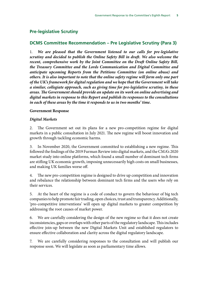## **Pre-legislative Scrutiny**

## **DCMS Committee Recommendation – Pre Legislative Scrutiny (Para 3)**

1. *We are pleased that the Government listened to our calls for pre-legislative scrutiny and decided to publish the Online Safety Bill in draft. We also welcome the recent, comprehensive work by the Joint Committee on the Draft Online Safety Bill, the Treasury Committee and the Lords Communication and Digital Committee and anticipate upcoming Reports from the Petitions Committee (on online abuse) and others. It is also important to note that the online safety regime will form only one part of the UK's framework for digital regulation and we hope that the Government will take a similar, collegiate approach, such as giving time for pre-legislative scrutiny, in these areas. The Government should provide an update on its work on online advertising and digital markets in response to this Report and publish its responses to the consultations in each of these areas by the time it responds to us in two months' time.*

#### **Government Response**

#### *Digital Markets*

2. The Government set out its plans for a new pro-competition regime for digital markets in a public consultation in July 2021. The new regime will boost innovation and growth through tackling economic harms.

3. In November 2020, the Government committed to establishing a new regime. This followed the findings of the 2019 Furman Review into digital markets, and the CMA's 2020 market study into online platforms, which found a small number of dominant tech firms are stifling UK economic growth, imposing unnecessarily high costs on small businesses, and making UK families worse off.

4. The new pro-competition regime is designed to drive up competition and innovation and rebalance the relationship between dominant tech firms and the users who rely on their services.

5. At the heart of the regime is a code of conduct to govern the behaviour of big tech companies to help promote fair trading, open choices, trust and transparency. Additionally, 'pro-competitive interventions' will open up digital markets to greater competition by addressing the root causes of market power.

6. We are carefully considering the design of the new regime so that it does not create inconsistencies, gaps or overlaps with other parts of the regulatory landscape. This includes effective join-up between the new Digital Markets Unit and established regulators to ensure effective collaboration and clarity across the digital regulatory landscape.

7. We are carefully considering responses to the consultation and will publish our response soon. We will legislate as soon as parliamentary time allows.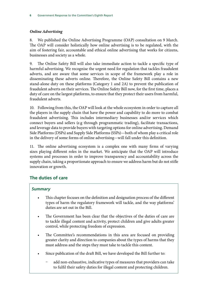## *Online Advertising*

8. We published the Online Advertising Programme (OAP) consultation on 9 March. The OAP will consider holistically how online advertising is to be regulated, with the aim of fostering fair, accountable and ethical online advertising that works for citizens, businesses and society as a whole.

9. The Online Safety Bill will also take immediate action to tackle a specific type of harmful advertising. We recognise the urgent need for regulation that tackles fraudulent adverts, and are aware that some services in scope of the framework play a role in disseminating these adverts online. Therefore, the Online Safety Bill contains a new stand-alone duty on these platforms (Category 1 and 2A) to prevent the publication of fraudulent adverts on their services. The Online Safety Bill now, for the first time, places a duty of care on the largest platforms, to ensure that they protect their users from harmful, fraudulent adverts.

10. Following from this, the OAP will look at the whole ecosystem in order to capture all the players in the supply chain that have the power and capability to do more to combat fraudulent advertising. This includes intermediary businesses and/or services which connect buyers and sellers (e.g through programmatic trading), facilitate transactions, and leverage data to provide buyers with targeting options for online advertising. Demand Side Platforms (DSPs) and Supply Side Platforms (SSPs)—both of whom play a critical role in the delivery of some forms of online advertising—will fall under this definition.

11. The online advertising ecosystem is a complex one with many firms of varying sizes playing different roles in the market. We anticipate that the OAP will introduce systems and processes in order to improve transparency and accountability across the supply chain, taking a proportionate approach to ensure we address harm but do not stifle innovation or growth.

# **The duties of care**

## *Summary*

- This chapter focuses on the definition and designation process of the different types of harm the regulatory framework will tackle, and the way platforms' duties are set out in the Bill.
- The Government has been clear that the objectives of the duties of care are to tackle illegal content and activity, protect children and give adults greater control, while protecting freedom of expression.
- The Committee's recommendations in this area are focused on providing greater clarity and direction to companies about the types of harms that they must address and the steps they must take to tackle this content.
- Since publication of the draft Bill, we have developed the Bill further to:
	- add non-exhaustive, indicative types of measures that providers can take to fulfil their safety duties for illegal content and protecting children.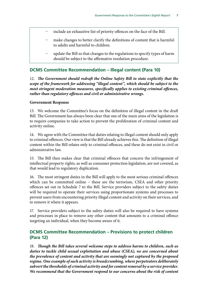- include an exhaustive list of priority offences on the face of the Bill.
- make changes to better clarify the definitions of content that is harmful to adults and harmful to children.
- update the Bill so that changes to the regulations to specify types of harm should be subject to the affirmative resolution procedure.

## **DCMS Committee Recommendation – Illegal content (Para 10)**

12. *The Government should redraft the Online Safety Bill to state explicitly that the scope of the framework for addressing "illegal content", which should be subject to the most stringent moderation measures, specifically applies to existing criminal offences, rather than regulatory offences and civil or administrative wrongs.*

#### **Government Response**

13. We welcome the Committee's focus on the definition of illegal content in the draft Bill. The Government has always been clear that one of the main aims of the legislation is to require companies to take action to prevent the proliferation of criminal content and activity online.

14. We agree with the Committee that duties relating to illegal content should only apply to criminal offences. Our view is that the Bill already achieves this. The definition of illegal content within the Bill relates only to criminal offences, and these do not exist in civil or administrative law.

15. The Bill then makes clear that criminal offences that concern the infringement of intellectual property rights, as well as consumer protection legislation, are not covered, as that would lead to regulatory duplication.

16. The most stringent duties in the Bill will apply to the most serious criminal offences which can be committed online – these are the terrorism, CSEA and other priority offences set out in Schedule 7 to the Bill. Service providers subject to the safety duties will be required to operate their services using proportionate systems and processes to prevent users from encountering priority illegal content and activity on their services, and to remove it where it appears.

17. Service providers subject to the safety duties will also be required to have systems and processes in place to remove any other content that amounts to a criminal offence targeting an individual, when they become aware of it.

## **DCMS Committee Recommendation – Provisions to protect children (Para 12)**

18. *Though the Bill takes several welcome steps to address harms to children, such as duties to tackle child sexual exploitation and abuse (CSEA), we are concerned about the prevalence of content and activity that are seemingly not captured by the proposed regime. One example of such activity is breadcrumbing, where perpetrators deliberately subvert the thresholds of criminal activity and for content removal by a service provider. We recommend that the Government respond to our concerns about the risk of content*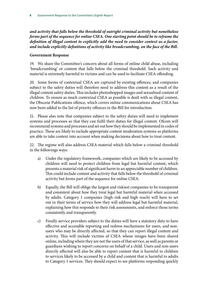*and activity that falls below the threshold of outright criminal activity but nonetheless forms part of the sequence for online CSEA. One starting point should be to reframe the definition of illegal content to explicitly add the need to consider context as a factor, and include explicitly definitions of activity like breadcrumbing, on the face of the Bill.*

#### **Government Response**

19. We share the Committee's concern about all forms of online child abuse, including 'breadcrumbing' or content that falls below the criminal threshold. Such activity and material is extremely harmful to victims and can be used to facilitate CSEA offending.

20. Some forms of contextual CSEA are captured by existing offences, and companies subject to the safety duties will therefore need to address this content as a result of the illegal content safety duties. This includes photoshopped images and sexualised content of children. To ensure as much contextual CSEA as possible is dealt with as illegal content, the Obscene Publications offence, which covers online communications about CSEA has now been added to the list of priority offences in the Bill for introduction.

21. Please also note that companies subject to the safety duties will need to implement systems and processes so that they can fulfil their duties for illegal content. Ofcom will recommend systems and processes and set out how they should be implemented in codes of practice. These are likely to include appropriate content moderation systems so platforms are able to take context into account when making decisions about how to treat content.

22. The regime will also address CSEA material which falls below a criminal threshold in the followings ways:

- a) Under the regulatory framework, companies which are likely to be accessed by children will need to protect children from legal but harmful content, which presents a material risk of significant harm to an appreciable number of children. This could include content and activity that falls below the threshold of criminal activity but forms part of the sequence for online CSEA.
- b) Equally, the Bill will oblige the largest and riskiest companies to be transparent and consistent about how they treat legal but harmful material when accessed by adults. Category 1 companies (high risk and high reach) will have to set out in their terms of service how they will address legal but harmful material, explaining how this responds to their risk assessments, and enforce those terms consistently and transparently.
- c) Finally service providers subject to the duties will have a statutory duty to have effective and accessible reporting and redress mechanisms for users, and nonusers who may be directly affected, so that they can report illegal content and activity. This will include victims of CSEA whose images have been shared online, including where they are not the users of that service, as well as parents or guardians wishing to report concerns on behalf of a child. Users and non-users directly affected will also be able to report content that is harmful to children to services likely to be accessed by a child and content that is harmful to adults to Category 1 services. They should expect to see platforms responding quickly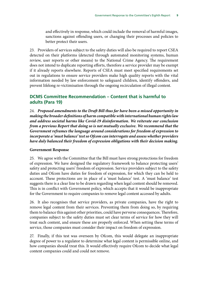and effectively in response, which could include the removal of harmful images, sanctions against offending users, or changing their processes and policies to better protect their users.

23. Providers of services subject to the safety duties will also be required to report CSEA detected on their platforms (detected through automated monitoring systems, human review, user reports or other means) to the National Crime Agency. The requirement does not intend to duplicate reporting efforts, therefore a service provider may be exempt if it already reports elsewhere. Reports of CSEA must meet specified requirements set out in regulations to ensure service providers make high quality reports with the vital information needed by law enforcement to safeguard children, identify offenders, and prevent lifelong re-victimisation through the ongoing recirculation of illegal content.

## **DCMS Committee Recommendation – Content that is harmful to adults (Para 19)**

24. *Proposed amendments to the Draft Bill thus far have been a missed opportunity in making the broader definitions of harm compatible with international human rights law and address societal harms like Covid-19 disinformation. We reiterate our conclusion from a previous Report that doing so is not mutually exclusive. We recommend that the Government reframes the language around considerations for freedom of expression to incorporate a 'must balance' test so Ofcom can interrogate and assess whether providers have duly balanced their freedom of expression obligations with their decision making.*

#### **Government Response**

25. We agree with the Committee that the Bill must have strong protections for freedom of expression. We have designed the regulatory framework to balance protecting users' safety and protecting users' freedom of expression. Service providers subject to the safety duties and Ofcom have duties for freedom of expression, for which they can be held to account. These protections are in place of a 'must balance' test. A 'must balance' test suggests there is a clear line to be drawn regarding when legal content should be removed. This is in conflict with Government policy, which accepts that it would be inappropriate for the Government to require companies to remove legal content accessed by adults.

26. It also recognises that service providers, as private companies, have the right to remove legal content from their services. Preventing them from doing so, by requiring them to balance this against other priorities, could have perverse consequences. Therefore, companies subject to the safety duties must set clear terms of service for how they will treat such content, and ensure these are properly enforced. When setting these terms of service, those companies must consider their impact on freedom of expression.

27. Finally, if this test was overseen by Ofcom, this would delegate an inappropriate degree of power to a regulator to determine what legal content is permissible online, and how companies should treat this. It would effectively require Ofcom to decide what legal content companies could and could not remove.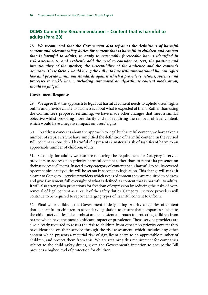# **DCMS Committee Recommendation – Content that is harmful to adults (Para 20)**

28. *We recommend that the Government also reframes the definitions of harmful content and relevant safety duties for content that is harmful to children and content*  that is harmful to adults, to apply to reasonably foreseeable harms identified in *risk assessments, and explicitly add the need to consider context, the position and intentionality of the speaker, the susceptibility of the audience and the content's accuracy. These factors would bring the Bill into line with international human rights law and provide minimum standards against which a provider's actions, systems and processes to tackle harm, including automated or algorithmic content moderation, should be judged.*

#### **Government Response**

29. We agree that the approach to legal but harmful content needs to uphold users' rights online and provide clarity to businesses about what is expected of them. Rather than using the Committee's proposed reframing, we have made other changes that meet a similar objective whilst providing more clarity and not requiring the removal of legal content, which would have a negative impact on users' rights.

30. To address concerns about the approach to legal but harmful content, we have taken a number of steps. First, we have simplified the definition of harmful content. In the revised Bill, content is considered harmful if it presents a material risk of significant harm to an appreciable number of children/adults.

31. Secondly, for adults, we also are removing the requirement for Category 1 service providers to address non-priority harmful content (other than to report its presence on their services to Ofcom). Instead every category of content that is harmful to adults covered by companies' safety duties will be set out in secondary legislation. This change will make it clearer to Category 1 service providers which types of content they are required to address and give Parliament full oversight of what is defined as content that is harmful to adults. It will also strengthen protections for freedom of expression by reducing the risks of overremoval of legal content as a result of the safety duties. Category 1 service providers will continue to be required to report emerging types of harmful content to Ofcom.

32. Finally, for children, the Government is designating priority categories of content that is harmful to children in secondary legislation to ensure that companies subject to the child safety duties take a robust and consistent approach to protecting children from harms which have the most significant impact or prevalence. Those service providers are also already required to assess the risk to children from other non-priority content they have identified on their service through the risk assessment, which includes any other content which presents a material risk of significant harm to an appreciable number of children, and protect them from this. We are retaining this requirement for companies subject to the child safety duties, given the Government's intention to ensure the Bill provides a higher level of protection for children.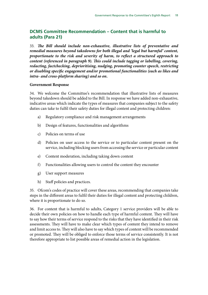# **DCMS Committee Recommendation – Content that is harmful to adults (Para 21)**

33. *The Bill should include non-exhaustive, illustrative lists of preventative and remedial measures beyond takedowns for both illegal and 'legal but harmful' content, proportionate to the risk and severity of harm, to reflect a structured approach to content (referenced in paragraph 9). This could include tagging or labelling, covering, redacting, factchecking, deprioritising, nudging, promoting counter speech, restricting or disabling specific engagement and/or promotional functionalities (such as likes and intra- and cross-platform sharing) and so on.*

#### **Government Response**

34. We welcome the Committee's recommendation that illustrative lists of measures beyond takedown should be added to the Bill. In response we have added non-exhaustive, indicative areas which indicate the types of measures that companies subject to the safety duties can take to fulfil their safety duties for illegal content and protecting children:

- a) Regulatory compliance and risk management arrangements
- b) Design of features, functionalities and algorithms
- c) Policies on terms of use
- d) Policies on user access to the service or to particular content present on the service, including blocking users from accessing the service or particular content
- e) Content moderation, including taking down content
- f) Functionalities allowing users to control the content they encounter
- g) User support measures
- h) Staff policies and practices.

35. Ofcom's codes of practice will cover these areas, recommending that companies take steps in the different areas to fulfil their duties for illegal content and protecting children, where it is proportionate to do so.

36. For content that is harmful to adults, Category 1 service providers will be able to decide their own policies on how to handle each type of harmful content. They will have to say how their terms of service respond to the risks that they have identified in their risk assessments. They will have to make clear which types of content they intend to remove and limit access to. They will also have to say which types of content will be recommended or promoted. They will be obliged to enforce those terms of service consistently. It is not therefore appropriate to list possible areas of remedial action in the legislation.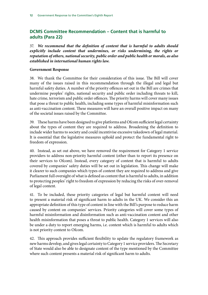# **DCMS Committee Recommendation – Content that is harmful to adults (Para 22)**

37. *We recommend that the definition of content that is harmful to adults should*  explicitly include content that undermines, or risks undermining, the rights or *reputation of others, national security, public order and public health or morals, as also established in international human rights law.*

#### **Government Response**

38. We thank the Committee for their consideration of this issue. The Bill will cover many of the issues raised in this recommendation through the illegal and legal but harmful safety duties. A number of the priority offences set out in the Bill are crimes that undermine peoples' rights, national security and public order including threats to kill, hate crime, terrorism and public order offences. The priority harms will cover many issues that pose a threat to public health, including some types of harmful misinformation such as anti-vaccination content. These measures will have an overall positive impact on many of the societal issues raised by the Committee.

39. These harms have been designed to give platforms and Ofcom sufficient legal certainty about the types of content they are required to address. Broadening the definition to include wider harms to society and could incentivise excessive takedown of legal material. It is essential that the legislative measures uphold and protect the fundamental right to freedom of expression.

40. Instead, as set out above, we have removed the requirement for Category 1 service providers to address non-priority harmful content (other than to report its presence on their services to Ofcom). Instead, every category of content that is harmful to adults covered by companies' safety duties will be set out in legislation. This change will make it clearer to such companies which types of content they are required to address and give Parliament full oversight of what is defined as content that is harmful to adults, in addition to protecting peoples' right to freedom of expression by reducing the risks of over-removal of legal content.

41. To be included, these priority categories of legal but harmful content will need to present a material risk of significant harm to adults in the UK. We consider this an appropriate definition of this type of content in line with the Bill's purpose to reduce harm caused by content on companies' services. Priority categories will cover some types of harmful misinformation and disinformation such as anti-vaccination content and other health misinformation that poses a threat to public health. Category 1 services will also be under a duty to report emerging harms, i.e. content which is harmful to adults which is not priority content to Ofcom.

42. This approach provides sufficient flexibility to update the regulatory framework as new harms develop, and gives legal certainty to Category 1 service providers. The Secretary of State would also be able to designate content of the type mentioned by the Committee where such content presents a material risk of significant harm to adults.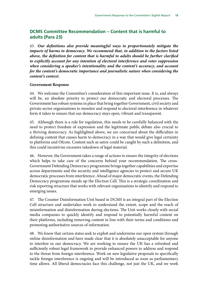## **DCMS Committee Recommendation – Content that is harmful to adults (Para 23)**

43. *Our definitions also provide meaningful ways to proportionately mitigate the impacts of harms to democracy. We recommend that, in addition to the factors listed above, the definition for content that is harmful to adults should be further clarified to explicitly account for any intention of electoral interference and voter suppression when considering a speaker's intentionality and the content's accuracy, and account for the content's democratic importance and journalistic nature when considering the content's context.*

#### **Government Response**

44. We welcome the Committee's consideration of this important issue. It is, and always will be, an absolute priority to protect our democratic and electoral processes. The Government has robust systems in place that bring together Government, civil society and private sector organisations to monitor and respond to electoral interference in whatever form it takes to ensure that our democracy stays open, vibrant and transparent.

45. Although there is a role for regulation, this needs to be carefully balanced with the need to protect freedom of expression and the legitimate public debate also crucial to a thriving democracy. As highlighted above, we are concerned about the difficulties in defining content that causes harm to democracy in a way that would give legal certainty to platforms and Ofcom. Content such as satire could be caught by such a definition, and this could incentivise excessive takedown of legal material.

46. However, the Government takes a range of actions to ensure the integrity of elections which helps to take care of the concerns behind your recommendation. The cross-Government Defending Democracy programme brings together capabilities and expertise across departments and the security and intelligence agencies to protect and secure UK democratic processes from interference. Ahead of major democratic events, the Defending Democracy programme stands up the Election Cell. This is a strategic coordination and risk reporting structure that works with relevant organisations to identify and respond to emerging issues.

47. The Counter Disinformation Unit based in DCMS is an integral part of the Election Cell structure and undertakes work to understand the extent, scope and the reach of misinformation and disinformation during elections. The Unit works closely with social media companies to quickly identify and respond to potentially harmful content on their platforms, including removing content in line with their terms and conditions and promoting authoritative sources of information.

48. We know that certain states seek to exploit and undermine our open system through online disinformation and have made clear that it is absolutely unacceptable for anyone to interfere in our democracy. We are working to ensure the UK has a refreshed and sufficiently robust legal framework to provide enhanced powers to address and respond to the threat from foreign interference. Work on new legislative proposals to specifically tackle foreign interference is ongoing and will be introduced as soon as parliamentary time allows. All liberal democracies face this challenge, not just the UK, and we work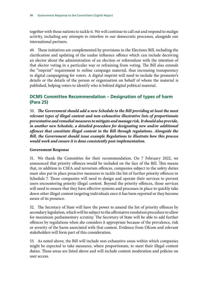together with those nations to tackle it. We will continue to call out and respond to malign activity, including any attempts to interfere in our democratic processes, alongside our international partners.

49. These initiatives are complemented by provisions in the Elections Bill, including the clarification and updating of the undue influence offence which can include deceiving an elector about the administration of an election or referendum with the intention of that elector voting in a particular way or refraining from voting. The Bill also extends the "imprint" requirement to online campaign material, thus increasing transparency in digital campaigning for voters. A digital imprint will need to include the promoter's details or the details of the person or organisation on behalf of whom the material is published, helping voters to identify who is behind digital political material.

## **DCMS Committee Recommendation – Designation of types of harm (Para 25)**

50. *The Government should add a new Schedule to the Bill providing at least the most relevant types of illegal content and non-exhaustive illustrative lists of proportionate preventative and remedial measures to mitigate and manage risk. It should also provide, in another new Schedule, a detailed procedure for designating new and/or additional offences that constitute illegal content in the Bill through regulations. Alongside the Bill, the Government should issue example Regulations to illustrate how this process would work and ensure it is done consistently post-implementation.*

#### **Government Response**

51. We thank the Committee for their recommendation. On 7 February 2022, we announced that priority offences would be included on the face of the Bill. This means that, in addition to CSEA and terrorism offences, companies subject to the safety duties must also put in place proactive measures to tackle the list of further priority offences in Schedule 7. Those companies will need to design and operate their services to prevent users encountering priority illegal content. Beyond the priority offences, those services will need to ensure that they have effective systems and processes in place to quickly take down other illegal content targeting individuals once it has been reported or they become aware of its presence.

52. The Secretary of State will have the power to amend the list of priority offences by secondary legislation, which will be subject to the affirmative resolution procedure to allow for maximum parliamentary scrutiny. The Secretary of State will be able to add further offences by regulations when she considers it appropriate because of the prevalence, risk or severity of the harm associated with that content. Evidence from Ofcom and relevant stakeholders will form part of this consideration.

53. As noted above, the Bill will include non-exhaustive areas within which companies might be expected to take measures, where proportionate, to meet their illegal content duties. These areas are listed above and will include content moderation and policies on user access.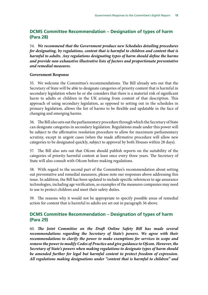## **DCMS Committee Recommendation – Designation of types of harm (Para 28)**

54. *We recommend that the Government produce new Schedules detailing procedures for designating, by regulations, content that is harmful to children and content that is harmful to adults. Any regulations designating types of harm should define the harms and provide non-exhaustive illustrative lists of factors and proportionate preventative and remedial measures.*

#### **Government Response**

55. We welcome the Committee's recommendations. The Bill already sets out that the Secretary of State will be able to designate categories of priority content that is harmful in secondary legislation where he or she considers that there is a material risk of significant harm to adults or children in the UK arising from content of that description. This approach of using secondary legislation, as opposed to setting out in the schedules in primary legislation, allows the list of harms to be flexible and updatable in the face of changing and emerging harms.

56. The Bill also sets out the parliamentary procedure through which the Secretary of State can designate categories in secondary legislation. Regulations made under this power will be subject to the affirmative resolution procedure to allow for maximum parliamentary scrutiny, except in urgent cases (when the made affirmative procedure will allow new categories to be designated quickly, subject to approval by both Houses within 28 days).

57. The Bill also sets out that Ofcom should publish reports on the suitability of the categories of priority harmful content at least once every three years. The Secretary of State will also consult with Ofcom before making regulations.

58. With regard to the second part of the Committee's recommendation about setting out preventative and remedial measures, please note our responses above addressing this issue. In addition, the Bill has been updated to include specific references to age assurance technologies, including age verification, as examples of the measures companies may need to use to protect children and meet their safety duties.

59. The reasons why it would not be appropriate to specify possible areas of remedial action for content that is harmful to adults are set out in paragraph 36 above.

## **DCMS Committee Recommendation – Designation of types of harm (Para 29)**

60. *The Joint Committee on the Draft Online Safety Bill has made several recommendations regarding the Secretary of State's powers. We agree with their recommendations to clarify the power to make exemptions for services in scope and remove the power to modify Codes of Practice and give guidance to Ofcom. However, the Secretary of State's powers when making regulations to designate types of harm should be amended further for legal but harmful content to protect freedom of expression. All regulations making designations under "content that is harmful to children" and*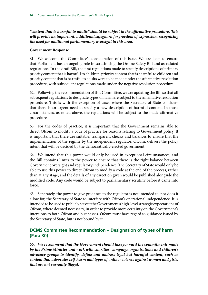*"content that is harmful to adults" should be subject to the affirmative procedure. This will provide an important, additional safeguard for freedom of expression, recognising the need for additional parliamentary oversight in this area.*

#### **Government Response**

61. We welcome the Committee's consideration of this issue. We are keen to ensure that Parliament has an ongoing role in scrutinising the Online Safety Bill and associated regulations. In the draft Bill, the first regulations made to specify descriptions of primary priority content that is harmful to children, priority content that is harmful to children and priority content that is harmful to adults were to be made under the affirmative resolution procedure, with subsequent regulations made under the negative resolution procedure.

62. Following the recommendation of this Committee, we are updating the Bill so that all subsequent regulations to designate types of harm are subject to the affirmative resolution procedure. This is with the exception of cases where the Secretary of State considers that there is an urgent need to specify a new description of harmful content. In those circumstances, as noted above, the regulations will be subject to the made affirmative procedure.

63. For the codes of practice, it is important that the Government remains able to direct Ofcom to modify a code of practice for reasons relating to Government policy. It is important that there are suitable, transparent checks and balances to ensure that the implementation of the regime by the independent regulator, Ofcom, delivers the policy intent that will be decided by the democratically-elected government.

64. We intend that this power would only be used in exceptional circumstances, and the Bill contains limits to the power to ensure that there is the right balance between Government oversight and regulatory independence. The Secretary of State would only be able to use this power to direct Ofcom to modify a code at the end of the process, rather than at any stage, and the details of any direction given would be published alongside the modified code. Any code would be subject to parliamentary scrutiny before it came into force.

65. Separately, the power to give guidance to the regulator is not intended to, nor does it allow for, the Secretary of State to interfere with Ofcom's operational independence. It is intended to be used to publicly set out the Government's high-level strategic expectations of Ofcom, where deemed necessary, in order to provide more certainty on the Government's intentions to both Ofcom and businesses. Ofcom must have regard to guidance issued by the Secretary of State, but is not bound by it.

# **DCMS Committee Recommendation – Designation of types of harm (Para 30)**

66. *We recommend that the Government should take forward the commitments made by the Prime Minister and work with charities, campaign organisations and children's advocacy groups to identify, define and address legal but harmful content, such as content that advocates self-harm and types of online violence against women and girls, that are not currently illegal.*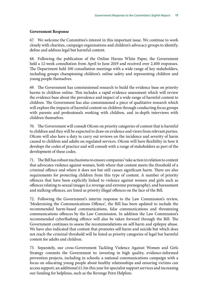#### **Government Response**

67. We welcome the Committee's interest in this important issue. We continue to work closely with charities, campaign organisations and children's advocacy groups to identify, define and address legal but harmful content.

68. Following the publication of the Online Harms White Paper, the Government held a 12-week consultation from April to June 2019 and received over 2,400 responses. The Department held 100 consultation meetings with a wide range of key stakeholders, including groups championing children's online safety and representing children and young people themselves.

69. The Government has commissioned research to build the evidence base on priority harms to children online. This includes a rapid evidence assessment which will review the evidence base about the prevalence and impact of a wide range of harmful content to children. The Government has also commissioned a piece of qualitative research which will explore the impacts of harmful content on children through conducting focus groups with parents and professionals working with children, and in-depth interviews with children themselves.

70. The Government will consult Ofcom on priority categories of content that is harmful to children and they will be expected to draw on evidence and views from relevant parties. Ofcom will also have a duty to carry out reviews on the incidence and severity of harm caused to children and adults on regulated services. Ofcom will have flexibility in how it develops the codes of practice and will consult with a range of stakeholders as part of the development of these codes.

71. The Bill has robust mechanisms to ensure companies' take action in relation to content that advocates violence against women, both where that content meets the threshold of a criminal offence and where it does not but still causes significant harm. There are also requirements for protecting children from this type of content. A number of priority offences that have been explicitly linked to violence against women and girls such as offences relating to sexual images (i.e revenge and extreme pornography), and harassment and stalking offences, are listed as priority illegal offences on the face of the Bill.

72. Following the Government's interim response to the Law Commission's review, 'Modernising the Communications Offence', the Bill has been updated to include the recommended harm-based communications, false communications and threatening communications offences by the Law Commission. In addition the Law Commission's recommended cyberflashing offence will also be taken forward through the Bill. The Government continues to assess the recommendations on self-harm and epilepsy abuse. We have also indicated that content that promotes self-harm and suicide but which does not reach the criminal threshold will be listed as priority categories of legal but harmful content for adults and children.

73. Separately, our cross-Government Tackling Violence Against Women and Girls Strategy commits the Government to: investing in high quality, evidence-informed prevention projects, including in schools; a national communications campaign with a focus on educating young people about healthy relationships and ensuring victims can access support; an additional £1.5m this year for specialist support services and increasing our funding for helplines, such as the Revenge Porn Helpline.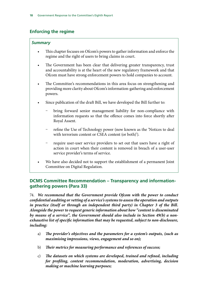## **Enforcing the regime**

#### *Summary*

- This chapter focuses on Ofcom's powers to gather information and enforce the regime and the right of users to bring claims in court.
- The Government has been clear that delivering greater transparency, trust and accountability is at the heart of the new regulatory framework and that Ofcom must have strong enforcement powers to hold companies to account.
- The Committee's recommendations in this area focus on strengthening and providing more clarity about Ofcom's information-gathering and enforcement powers.
- Since publication of the draft Bill, we have developed the Bill further to:
	- bring forward senior management liability for non-compliance with information requests so that the offence comes into force shortly after Royal Assent.
	- refine the Use of Technology power (now known as the 'Notices to deal with terrorism content or CSEA content (or both)').
	- require user-user service providers to set out that users have a right of action in court when their content is removed in breach of a user-user service provider's terms of service.
- We have also decided not to support the establishment of a permanent Joint Committee on Digital Regulation.

## **DCMS Committee Recommendation – Transparency and informationgathering powers (Para 33)**

74. *We recommend that the Government provide Ofcom with the power to conduct confidential auditing or vetting of a service's systems to assess the operation and outputs in practice (itself or through an independent third party) in Chapter 3 of the Bill. Alongside the power to request generic information about how "content is disseminated by means of a service", the Government should also include in Section 49(b) a nonexhaustive list of specific information that may be requested, subject to non-disclosure, including:*

- a) *The provider's objectives and the parameters for a system's outputs, (such as maximising impressions, views, engagement and so on);*
- b) *Their metrics for measuring performance and references of success;*
- c) *The datasets on which systems are developed, trained and refined, including for profiling, content recommendation, moderation, advertising, decision making or machine learning purposes;*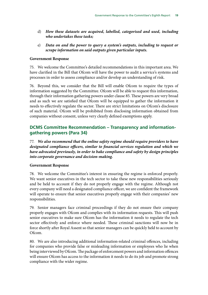- d) *How these datasets are acquired, labelled, categorised and used, including who undertakes these tasks;*
- e) *Data on and the power to query a system's outputs, including to request or scrape information on said outputs given particular inputs.*

#### **Government Response**

75. We welcome the Committee's detailed recommendations in this important area. We have clarified in the Bill that Ofcom will have the power to audit a service's systems and processes in order to assess compliance and/or develop an understanding of risk.

76. Beyond this, we consider that the Bill will enable Ofcom to require the types of information suggested by the Committee. Ofcom will be able to request this information, through their information gathering powers under clause 85. These powers are very broad and as such we are satisfied that Ofcom will be equipped to gather the information it needs to effectively regulate the sector. There are strict limitations on Ofcom's disclosure of such material. Ofcom will be prohibited from disclosing information obtained from companies without consent, unless very clearly defined exemptions apply.

## **DCMS Committee Recommendation – Transparency and informationgathering powers (Para 34)**

77. *We also recommend that the online safety regime should require providers to have designated compliance officers, similar to financial services regulation and which we have advocated previously, in order to bake compliance and safety by design principles into corporate governance and decision-making.*

#### **Government Response**

78. We welcome the Committee's interest in ensuring the regime is enforced properly. We want senior executives in the tech sector to take these new responsibilities seriously and be held to account if they do not properly engage with the regime. Although not every company will need a designated compliance officer, we are confident the framework will operate to ensure that senior executives properly engage with their companies' new responsibilities.

79. Senior managers face criminal proceedings if they do not ensure their company properly engages with Ofcom and complies with its information requests. This will push senior executives to make sure Ofcom has the information it needs to regulate the tech sector effectively and enforce where needed. These criminal sanctions will now be in force shortly after Royal Assent so that senior managers can be quickly held to account by Ofcom.

80. We are also introducing additional information-related criminal offences, including for companies who provide false or misleading information or employees who lie when being interviewed by Ofcom. The package of enforcement powers and information offences will ensure Ofcom has access to the information it needs to do its job and promote strong compliance with the wider regime.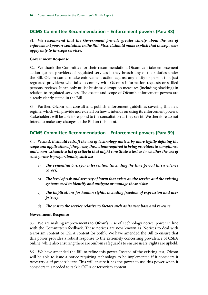## **DCMS Committee Recommendation – Enforcement powers (Para 38)**

## 81. *We recommend that the Government provide greater clarity about the use of enforcement powers contained in the Bill. First, it should make explicit that these powers apply only to in-scope services.*

#### **Government Response**

82. We thank the Committee for their recommendation. Ofcom can take enforcement action against providers of regulated services if they breach any of their duties under the Bill. Ofcom can also take enforcement action against any entity or person (not just regulated providers) who fails to comply with Ofcom's information requests or skilled persons' reviews. It can only utilise business disruption measures (including blocking) in relation to regulated services. The extent and scope of Ofcom's enforcement powers are already clearly stated in the Bill.

83. Further, Ofcom will consult and publish enforcement guidelines covering this new regime, which will provide more detail on how it intends on using its enforcement powers. Stakeholders will be able to respond to the consultation as they see fit. We therefore do not intend to make any changes to the Bill on this point.

## **DCMS Committee Recommendation – Enforcement powers (Para 39)**

84. *Second, it should redraft the use of technology notices by more tightly defining the scope and application of the power, the actions required to bring providers to compliance and a non-exhaustive list of criteria that might constitute a test as to whether the use of such power is proportionate, such as:*

- a) *The evidential basis for intervention (including the time period this evidence covers);*
- b) *The level of risk and severity of harm that exists on the service and the existing systems used to identify and mitigate or manage these risks;*
- c) *The implications for human rights, including freedom of expression and user privacy;*
- d) *The cost to the service relative to factors such as its user base and revenue.*

#### **Government Response**

85. We are making improvements to Ofcom's 'Use of Technology notice' power in line with the Committee's feedback. These notices are now known as 'Notices to deal with terrorism content or CSEA content (or both)'. We have amended the Bill to ensure that this power provides a robust response to the extremely concerning prevalence of CSEA online, while also ensuring there are built-in safeguards to ensure users' rights are upheld.

86. We have amended the Bill to refine this power. Instead of the existing test, Ofcom will be able to issue a notice requiring technology to be implemented if it considers it *necessary and proportionate*. This will ensure it has the power to use this power when it considers it is needed to tackle CSEA or terrorism content.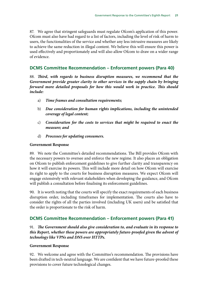87. We agree that stringent safeguards must regulate Ofcom's application of this power. Ofcom must also have had regard to a list of factors, including the level of risk of harm to users, the functionalities of the service and whether any less intrusive measures are likely to achieve the same reduction in illegal content. We believe this will ensure this power is used effectively and proportionately and will also allow Ofcom to draw on a wider range of evidence.

## **DCMS Committee Recommendation – Enforcement powers (Para 40)**

88. *Third, with regards to business disruption measures, we recommend that the Government provide greater clarity to other services in the supply chain by bringing forward more detailed proposals for how this would work in practice. This should include:*

- a) *Time frames and consultation requirements;*
- b) *Due consideration for human rights implications, including the unintended coverage of legal content;*
- c) *Consideration for the costs to services that might be required to enact the measure; and*
- d) *Processes for updating consumers.*

#### **Government Response**

89. We note the Committee's detailed recommendations. The Bill provides Ofcom with the necessary powers to oversee and enforce the new regime. It also places an obligation on Ofcom to publish enforcement guidelines to give further clarity and transparency on how it will exercise its powers. This will include more detail on how Ofcom will exercise its right to apply to the courts for business disruption measures. We expect Ofcom will engage extensively with relevant stakeholders when developing the guidance, and Ofcom will publish a consultation before finalising its enforcement guidelines.

90. It is worth noting that the courts will specify the exact requirements of each business disruption order, including timeframes for implementation. The courts also have to consider the rights of all the parties involved (including UK users) and be satisfied that the order is proportionate to the risk of harm.

## **DCMS Committee Recommendation – Enforcement powers (Para 41)**

91. *The Government should also give consideration to, and evaluate in its response to this Report, whether these powers are appropriately future-proofed given the advent of technology like VPNs and DNS over HTTPs.*

#### **Government Response**

92. We welcome and agree with the Committee's recommendation. The provisions have been drafted in tech-neutral language. We are confident that we have future-proofed these provisions to cover future technological changes.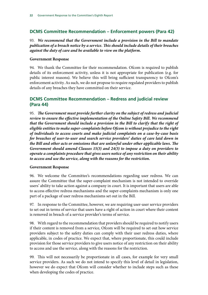# **DCMS Committee Recommendation – Enforcement powers (Para 42)**

93. *We recommend that the Government include a provision in the Bill to mandate publication of a breach notice by a service. This should include details of their breaches against the duty of care and be available to view on the platform.*

#### **Government Response**

94. We thank the Committee for their recommendation. Ofcom is required to publish details of its enforcement activity, unless it is not appropriate for publication (e.g. for public interest reasons). We believe this will bring sufficient transparency to Ofcom's enforcement activity. As such, we do not propose to require regulated providers to publish details of any breaches they have committed on their service.

## **DCMS Committee Recommendation – Redress and judicial review (Para 44)**

95. *The Government must provide further clarity on the subject of redress and judicial review to ensure the effective implementation of the Online Safety Bill. We recommend that the Government should include a provision in the Bill to clarify that the right of eligible entities to make super-complaints before Ofcom is without prejudice to the right of individuals to access courts and make judicial complaints on a case-by-case basis for breaches of user-to-user and search service providers' duties of care laid down in the Bill and other acts or omissions that are unlawful under other applicable laws. The Government should amend Clauses 15(3) and 24(3) to impose a duty on providers to operate a complaints procedure that gives users notice of any restriction on their ability to access and use the service, along with the reasons for the restriction.*

## **Government Response**

96. We welcome the Committee's recommendations regarding user redress. We can assure the Committee that the super-complaint mechanism is not intended to override users' ability to take action against a company in court. It is important that users are able to access effective redress mechanisms and the super-complaints mechanism is only one part of a package of user redress mechanisms set out in the Bill.

97. In response to the Committee, however, we are requiring user-user service providers to set out in terms of service that users have a right of action in court where their content is removed in breach of a service provider's terms of service.

98. With regard to the recommendation that providers should be required to notify users if their content is removed from a service, Ofcom will be required to set out how service providers subject to the safety duties can comply with their user redress duties, where applicable, in codes of practice. We expect that, where proportionate, this could include provision for those service providers to give users notice of any restriction on their ability to access and use the service, along with the reasons for the restriction.

99. This will not necessarily be proportionate in all cases, for example for very small service providers. As such we do not intend to specify this level of detail in legislation, however we do expect that Ofcom will consider whether to include steps such as these when developing the codes of practice.